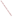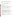# **Technical Factsheet on: HEXACHLOROBENZENE (HCB)**

[List of Contaminants](http://www.epa.gov/safewater/hfacts.html) 

 As part of the Drinking Water and Health pages, this fact sheet is part of a larger publication: **National Primary Drinking Water Regulations** 

Drinking Water Standards MCLG: zero mg/L MCL: 0.001 mg/L HAL(child): 1 day: 0.05 mg/L; Longer-term: 0.05 mg/L

## **Health Effects Summary**

 Acute: EPA has found hexachlorobenzene (HCB) to potentially cause the following health effects from acute exposures at levels above the MCL: skin lesions, nerve and liver damage.

 consuming 1 liter of water per day, upto a 7-year exposure to 0.05 mg/L. Drinking water levels which are considered "safe" for short-term exposures: For a 10-kg (22 lb.) child

 above the MCL: damage to liver and kidney tissue; reproductive effects; benign tumors of endocrine Chronic: HCB has the potential to cause the following health effects from long-term exposures at levels glands.

Cancer: There is some evidence that HCB may have the potential to cause cancer from a lifetime exposure at levels above the MCL.

#### **Usage Patterns**

HCB is produced as a by-product or waste material in the production of tetrachloroethylene, trichloroethylene, carbon tetrachloride, chlorine, dimethyl tetrachloroterephthalate, vinyl chloride, atrazine, propazine, simazine, pentachloronitrobenzene, and mirex. It is a contaminant in several pesticides including dimethyl tetrachlorophthalate and pentachloronitroben-zene.

 no evidence of commercial domestic production. However, 2 to 5 million lbs may be generated each year Production data on hexachlorobenzene is limited. In 1982, imports were reported to be 38,000 lbs, with as a waste by-product of chlorination processes in chemical manufacture.

 fungicide on grains, especially wheat. The greatest use of HCB is in making other organic compounds such as rubber, dyes, wood preservatives. Other uses of include: an additive in explosives, in electrode manufacture, and as a

#### **Release Patterns**

Major environmental releases of HCB are due to air and water discharges from its production as a byproduct of chemical manufacture, or from pesticide applications. It is also released by some waste incineration processes. It has been detected in treated waste water from non-ferrous metal manufacturing.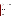From 1987 to 1993, according to EPA's Toxic Chemical Release Inventory, HCB releases to land and water totalled 1,287 lbs., all of which was to water. These releases were primarily from alkali, chlorine and agricultural chemical industries. The largest releases occurred in Louisiana and Texas.

#### **Environmental Fate**

HCB is a very persistent environmental chemical due to its chemical stability and resistance to biodegradation.

 If released to the atmosphere, HCB will exist primarily in the vapor phase and degradation will be possible. Physical removal from the atmosphere can occur via washout by rainfall and dry deposition. extremely slow (estimated half-life with hydroxyl radicals is 2 years). Long range global transport is

 Hydrolysis and biodegradation will not be significant processes in water. If released to water, HCB will significantly partition from the water column to sediment and suspended matter. Volatilization from the water column is rapid (half-life of about 8 hrs has been measured in the laboratory); however, the strong adsorption to sediment can result in long periods of persistence.

 1530 days has been reported). Little biodegradation will occur and transport to groundwater is expected air may occur, the extent of which is dependent upon the organic content of the soil. If released to soil, HCB will be strongly adsorbed and not generally susceptible to leaching (a half-life of to be slow, depending upon the organic carbon content of the soil; some evaporation from surface soil to

Hexachlorobenzene will bioconcentrate in fish and enter into the food chain (has been detected in food during market basket surveys). Log BCF in trout, 3.7-4.3; sunfish, 3.1-4.3; and fathead minnow, 4.2-4.5. Similar high BCF values (log BCF 2-3) have been measured in aquatic microcosms.

Human exposure will be from ambient air, contaminated drinking water and food, as well as contact with contaminated soil or occupational atmospheres.

# **Chemical/ Physical Properties**

CAS Number: 118-74-1

Color/ Form/Odor: White needles<br>M.P.: 231 C B.P.: 323-326 C

Vapor Pressure: 1.09x10-5 mm Hg, 25 C

Octanol/Water Partition (Kow): Log Kow = 5.31

Density/Spec. Grav.: 1.57 at 23.6 C

Solubility: 0.035 mg/L of water; Insoluble in water

Solubility: 0.035 mg/L of water; Insoluble in water<br>Soil sorption coefficient: Koc estimated at 4-5; low soil mobility

Odor/Taste Thresholds: N/A

Bioconcentration Factor: Log BCF=3.1 to 4.5 in fish; expected to bioconcentrate in aquatic organisms.